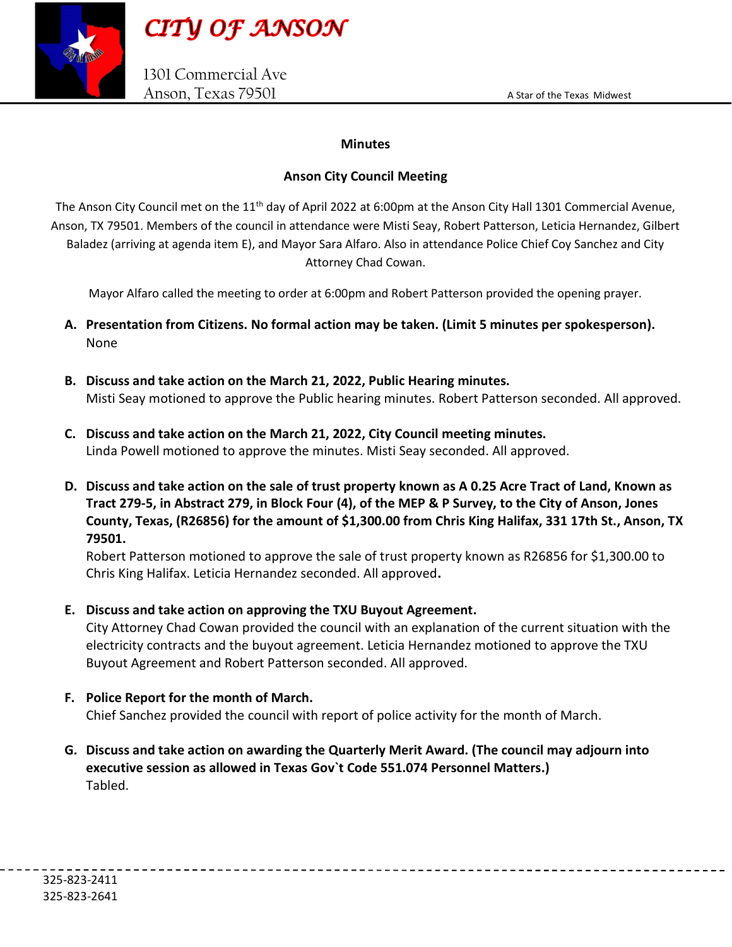



### Minutes

## Anson City Council Meeting

The Anson City Council met on the 11<sup>th</sup> day of April 2022 at 6:00pm at the Anson City Hall 1301 Commercial Avenue, Anson, TX 79501. Members of the council in attendance were Misti Seay, Robert Patterson, Leticia Hernandez, Gilbert Baladez (arriving at agenda item E), and Mayor Sara Alfaro. Also in attendance Police Chief Coy Sanchez and City Attorney Chad Cowan.

Mayor Alfaro called the meeting to order at 6:00pm and Robert Patterson provided the opening prayer.

- A. Presentation from Citizens. No formal action may be taken. (Limit 5 minutes per spokesperson). None
- B. Discuss and take action on the March 21, 2022, Public Hearing minutes. Misti Seay motioned to approve the Public hearing minutes. Robert Patterson seconded. All approved.
- C. Discuss and take action on the March 21, 2022, City Council meeting minutes. Linda Powell motioned to approve the minutes. Misti Seay seconded. All approved.
- D. Discuss and take action on the sale of trust property known as A 0.25 Acre Tract of Land, Known as Tract 279-5, in Abstract 279, in Block Four (4), of the MEP & P Survey, to the City of Anson, Jones County, Texas, (R26856) for the amount of \$1,300.00 from Chris King Halifax, 331 17th St., Anson, TX 79501.

Robert Patterson motioned to approve the sale of trust property known as R26856 for \$1,300.00 to Chris King Halifax. Leticia Hernandez seconded. All approved.

E. Discuss and take action on approving the TXU Buyout Agreement.

City Attorney Chad Cowan provided the council with an explanation of the current situation with the electricity contracts and the buyout agreement. Leticia Hernandez motioned to approve the TXU Buyout Agreement and Robert Patterson seconded. All approved.

F. Police Report for the month of March.

Chief Sanchez provided the council with report of police activity for the month of March.

G. Discuss and take action on awarding the Quarterly Merit Award. (The council may adjourn into executive session as allowed in Texas Gov`t Code 551.074 Personnel Matters.) Tabled.